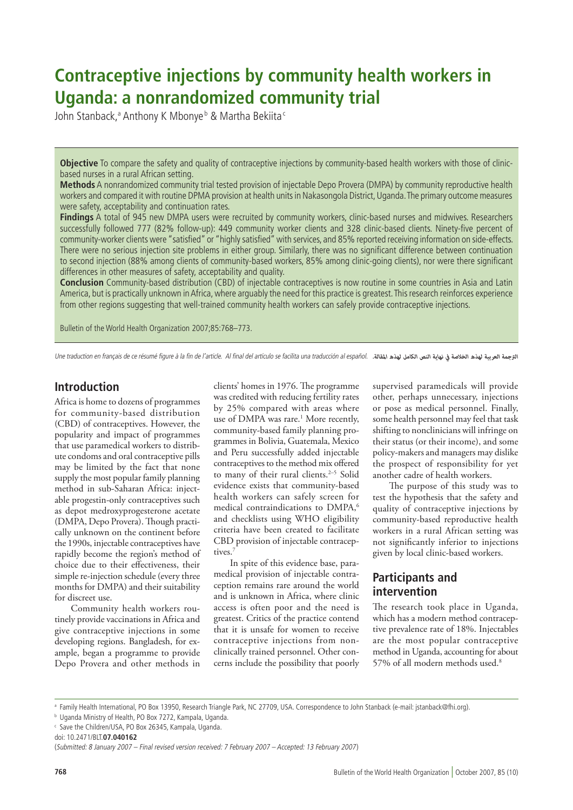# **Contraceptive injections by community health workers in Uganda: a nonrandomized community trial**

John Stanback,<sup>a</sup> Anthony K Mbonyeb & Martha Bekiita*s* 

**Objective** To compare the safety and quality of contraceptive injections by community-based health workers with those of clinicbased nurses in a rural African setting.

**Methods** A nonrandomized community trial tested provision of injectable Depo Provera (DMPA) by community reproductive health workers and compared it with routine DPMA provision at health units in Nakasongola District, Uganda. The primary outcome measures were safety, acceptability and continuation rates.

**Findings** A total of 945 new DMPA users were recruited by community workers, clinic-based nurses and midwives. Researchers successfully followed 777 (82% follow-up): 449 community worker clients and 328 clinic-based clients. Ninety-five percent of community-worker clients were "satisfied" or "highly satisfied" with services, and 85% reported receiving information on side-effects. There were no serious injection site problems in either group. Similarly, there was no significant difference between continuation to second injection (88% among clients of community-based workers, 85% among clinic-going clients), nor were there significant differences in other measures of safety, acceptability and quality.

**Conclusion** Community-based distribution (CBD) of injectable contraceptives is now routine in some countries in Asia and Latin America, but is practically unknown in Africa, where arguably the need for this practice is greatest. This research reinforces experience from other regions suggesting that well-trained community health workers can safely provide contraceptive injections.

Bulletin of the World Health Organization 2007;85:768–773.

Une traduction en français de ce résumé figure à la fin de l'article. Al final del artículo se facilita una traducción al español. *الرتجمة العربية لهذه الخالصة يف نهاية النص الكامل لهذه املقالة.*

## **Introduction**

Africa is home to dozens of programmes for community-based distribution (CBD) of contraceptives. However, the popularity and impact of programmes that use paramedical workers to distribute condoms and oral contraceptive pills may be limited by the fact that none supply the most popular family planning method in sub-Saharan Africa: injectable progestin-only contraceptives such as depot medroxyprogesterone acetate (DMPA, Depo Provera). Though practically unknown on the continent before the 1990s, injectable contraceptives have rapidly become the region's method of choice due to their effectiveness, their simple re-injection schedule (every three months for DMPA) and their suitability for discreet use.

Community health workers routinely provide vaccinations in Africa and give contraceptive injections in some developing regions. Bangladesh, for example, began a programme to provide Depo Provera and other methods in

clients' homes in 1976. The programme was credited with reducing fertility rates by 25% compared with areas where use of DMPA was rare.<sup>1</sup> More recently, community-based family planning programmes in Bolivia, Guatemala, Mexico and Peru successfully added injectable contraceptives to the method mix offered to many of their rural clients.<sup>2-5</sup> Solid evidence exists that community-based health workers can safely screen for medical contraindications to DMPA,<sup>6</sup> and checklists using WHO eligibility criteria have been created to facilitate CBD provision of injectable contraceptives<sup>?</sup>

In spite of this evidence base, paramedical provision of injectable contraception remains rare around the world and is unknown in Africa, where clinic access is often poor and the need is greatest. Critics of the practice contend that it is unsafe for women to receive contraceptive injections from nonclinically trained personnel. Other concerns include the possibility that poorly supervised paramedicals will provide other, perhaps unnecessary, injections or pose as medical personnel. Finally, some health personnel may feel that task shifting to nonclinicians will infringe on their status (or their income), and some policy-makers and managers may dislike the prospect of responsibility for yet another cadre of health workers.

The purpose of this study was to test the hypothesis that the safety and quality of contraceptive injections by community-based reproductive health workers in a rural African setting was not significantly inferior to injections given by local clinic-based workers.

## **Participants and intervention**

The research took place in Uganda, which has a modern method contraceptive prevalence rate of 18%. Injectables are the most popular contraceptive method in Uganda, accounting for about 57% of all modern methods used.<sup>8</sup>

ª Family Health International, PO Box 13950, Research Triangle Park, NC 27709, USA. Correspondence to John Stanback (e-mail: jstanback@fhi.org).

doi: 10.2471/BLT.**07.040162**

b Uganda Ministry of Health, PO Box 7272, Kampala, Uganda.

c Save the Children/USA, PO Box 26345, Kampala, Uganda.

<sup>(</sup>Submitted: 8 January 2007 – Final revised version received: 7 February 2007 – Accepted: 13 February 2007)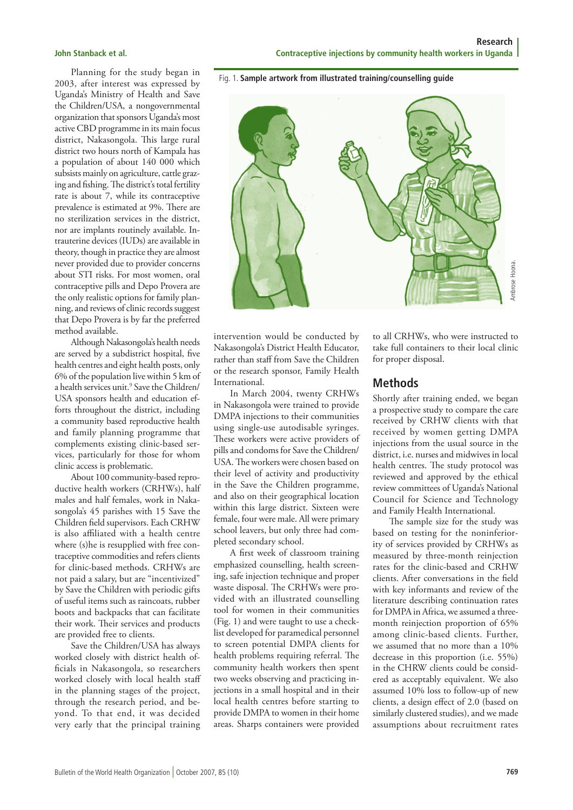Planning for the study began in 2003, after interest was expressed by Uganda's Ministry of Health and Save the Children/USA, a nongovernmental organization that sponsors Uganda's most active CBD programme in its main focus district, Nakasongola. This large rural district two hours north of Kampala has a population of about 140 000 which subsists mainly on agriculture, cattle grazing and fishing. The district's total fertility rate is about 7, while its contraceptive prevalence is estimated at 9%. There are no sterilization services in the district, nor are implants routinely available. Intrauterine devices (IUDs) are available in theory, though in practice they are almost never provided due to provider concerns about STI risks. For most women, oral contraceptive pills and Depo Provera are the only realistic options for family planning, and reviews of clinic records suggest that Depo Provera is by far the preferred method available.

Although Nakasongola's health needs are served by a subdistrict hospital, five health centres and eight health posts, only 6% of the population live within 5 km of a health services unit.9 Save the Children/ USA sponsors health and education efforts throughout the district, including a community based reproductive health and family planning programme that complements existing clinic-based services, particularly for those for whom clinic access is problematic.

About 100 community-based reproductive health workers (CRHWs), half males and half females, work in Nakasongola's 45 parishes with 15 Save the Children field supervisors. Each CRHW is also affiliated with a health centre where (s)he is resupplied with free contraceptive commodities and refers clients for clinic-based methods. CRHWs are not paid a salary, but are "incentivized" by Save the Children with periodic gifts of useful items such as raincoats, rubber boots and backpacks that can facilitate their work. Their services and products are provided free to clients.

Save the Children/USA has always worked closely with district health officials in Nakasongola, so researchers worked closely with local health staff in the planning stages of the project, through the research period, and beyond. To that end, it was decided very early that the principal training

**Research John Stanback et al. Contraceptive injections by community health workers in Uganda**

Fig. 1. **Sample artwork from illustrated training/counselling guide**



intervention would be conducted by Nakasongola's District Health Educator, rather than staff from Save the Children or the research sponsor, Family Health International.

In March 2004, twenty CRHWs in Nakasongola were trained to provide DMPA injections to their communities using single-use autodisable syringes. These workers were active providers of pills and condoms for Save the Children/ USA. The workers were chosen based on their level of activity and productivity in the Save the Children programme, and also on their geographical location within this large district. Sixteen were female, four were male. All were primary school leavers, but only three had completed secondary school.

A first week of classroom training emphasized counselling, health screening, safe injection technique and proper waste disposal. The CRHWs were provided with an illustrated counselling tool for women in their communities (Fig. 1) and were taught to use a checklist developed for paramedical personnel to screen potential DMPA clients for health problems requiring referral. The community health workers then spent two weeks observing and practicing injections in a small hospital and in their local health centres before starting to provide DMPA to women in their home areas. Sharps containers were provided

to all CRHWs, who were instructed to take full containers to their local clinic for proper disposal.

### **Methods**

Shortly after training ended, we began a prospective study to compare the care received by CRHW clients with that received by women getting DMPA injections from the usual source in the district, i.e. nurses and midwives in local health centres. The study protocol was reviewed and approved by the ethical review committees of Uganda's National Council for Science and Technology and Family Health International.

The sample size for the study was based on testing for the noninferiority of services provided by CRHWs as measured by three-month reinjection rates for the clinic-based and CRHW clients. After conversations in the field with key informants and review of the literature describing continuation rates for DMPA in Africa, we assumed a threemonth reinjection proportion of 65% among clinic-based clients. Further, we assumed that no more than a 10% decrease in this proportion (i.e. 55%) in the CHRW clients could be considered as acceptably equivalent. We also assumed 10% loss to follow-up of new clients, a design effect of 2.0 (based on similarly clustered studies), and we made For all CRHWs, who were instructed to<br>take full containers to their local clinic<br>for proper disposal.<br>**Methods**<br>Shortly after training ended, we began<br>a prospective study to compare the care<br>received by CRHW clients with t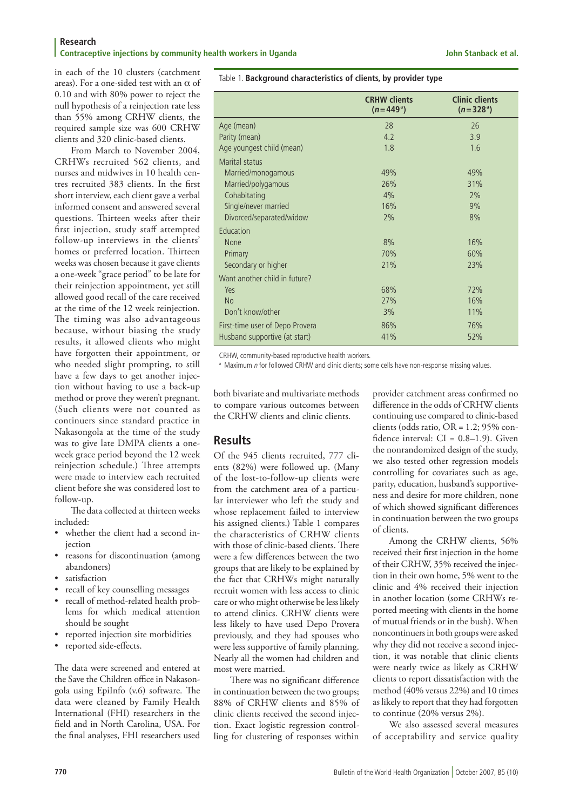#### **Research Contraceptive injections by community health workers in Uganda John Stanback et al. John Stanback et al.**

in each of the 10 clusters (catchment areas). For a one-sided test with an  $\alpha$  of 0.10 and with 80% power to reject the null hypothesis of a reinjection rate less than 55% among CRHW clients, the required sample size was 600 CRHW clients and 320 clinic-based clients.

From March to November 2004, CRHWs recruited 562 clients, and nurses and midwives in 10 health centres recruited 383 clients. In the first short interview, each client gave a verbal informed consent and answered several questions. Thirteen weeks after their first injection, study staff attempted follow-up interviews in the clients' homes or preferred location. Thirteen weeks was chosen because it gave clients a one-week "grace period" to be late for their reinjection appointment, yet still allowed good recall of the care received at the time of the 12 week reinjection. The timing was also advantageous because, without biasing the study results, it allowed clients who might have forgotten their appointment, or who needed slight prompting, to still have a few days to get another injection without having to use a back-up method or prove they weren't pregnant. (Such clients were not counted as continuers since standard practice in Nakasongola at the time of the study was to give late DMPA clients a oneweek grace period beyond the 12 week reinjection schedule.) Three attempts were made to interview each recruited client before she was considered lost to follow-up.

The data collected at thirteen weeks included:

- whether the client had a second injection
- reasons for discontinuation (among abandoners)
- satisfaction
- recall of key counselling messages
- recall of method-related health problems for which medical attention should be sought
- reported injection site morbidities
- reported side-effects.

The data were screened and entered at the Save the Children office in Nakasongola using EpiInfo (v.6) software. The data were cleaned by Family Health International (FHI) researchers in the field and in North Carolina, USA. For the final analyses, FHI researchers used

Table 1. **Background characteristics of clients, by provider type**

|                                 | <b>CRHW clients</b><br>$(n=449^{\circ})$ | <b>Clinic clients</b><br>$(n=328^{\circ})$ |
|---------------------------------|------------------------------------------|--------------------------------------------|
| Age (mean)                      | 28                                       | 26                                         |
| Parity (mean)                   | 4.2                                      | 3.9                                        |
| Age youngest child (mean)       | 1.8                                      | 1.6                                        |
| <b>Marital status</b>           |                                          |                                            |
| Married/monogamous              | 49%                                      | 49%                                        |
| Married/polygamous              | 26%                                      | 31%                                        |
| Cohabitating                    | 4%                                       | 2%                                         |
| Single/never married            | 16%                                      | 9%                                         |
| Divorced/separated/widow        | 2%                                       | 8%                                         |
| Education                       |                                          |                                            |
| None                            | 8%                                       | 16%                                        |
| Primary                         | 70%                                      | 60%                                        |
| Secondary or higher             | 21%                                      | 23%                                        |
| Want another child in future?   |                                          |                                            |
| Yes                             | 68%                                      | 72%                                        |
| <b>No</b>                       | 27%                                      | 16%                                        |
| Don't know/other                | 3%                                       | 11%                                        |
| First-time user of Depo Provera | 86%                                      | 76%                                        |
| Husband supportive (at start)   | 41%                                      | 52%                                        |

CRHW, community-based reproductive health workers.

<sup>a</sup> Maximum n for followed CRHW and clinic clients; some cells have non-response missing values.

both bivariate and multivariate methods to compare various outcomes between the CRHW clients and clinic clients.

## **Results**

Of the 945 clients recruited, 777 clients (82%) were followed up. (Many of the lost-to-follow-up clients were from the catchment area of a particular interviewer who left the study and whose replacement failed to interview his assigned clients.) Table 1 compares the characteristics of CRHW clients with those of clinic-based clients. There were a few differences between the two groups that are likely to be explained by the fact that CRHWs might naturally recruit women with less access to clinic care or who might otherwise be less likely to attend clinics. CRHW clients were less likely to have used Depo Provera previously, and they had spouses who were less supportive of family planning. Nearly all the women had children and most were married.

There was no significant difference in continuation between the two groups; 88% of CRHW clients and 85% of clinic clients received the second injection. Exact logistic regression controlling for clustering of responses within

provider catchment areas confirmed no difference in the odds of CRHW clients continuing use compared to clinic-based clients (odds ratio,  $OR = 1.2$ ; 95% confidence interval:  $CI = 0.8-1.9$ ). Given the nonrandomized design of the study, we also tested other regression models controlling for covariates such as age, parity, education, husband's supportiveness and desire for more children, none of which showed significant differences in continuation between the two groups of clients.

Among the CRHW clients, 56% received their first injection in the home of their CRHW, 35% received the injection in their own home, 5% went to the clinic and 4% received their injection in another location (some CRHWs reported meeting with clients in the home of mutual friends or in the bush). When noncontinuers in both groups were asked why they did not receive a second injection, it was notable that clinic clients were nearly twice as likely as CRHW clients to report dissatisfaction with the method (40% versus 22%) and 10 times as likely to report that they had forgotten to continue (20% versus 2%).

We also assessed several measures of acceptability and service quality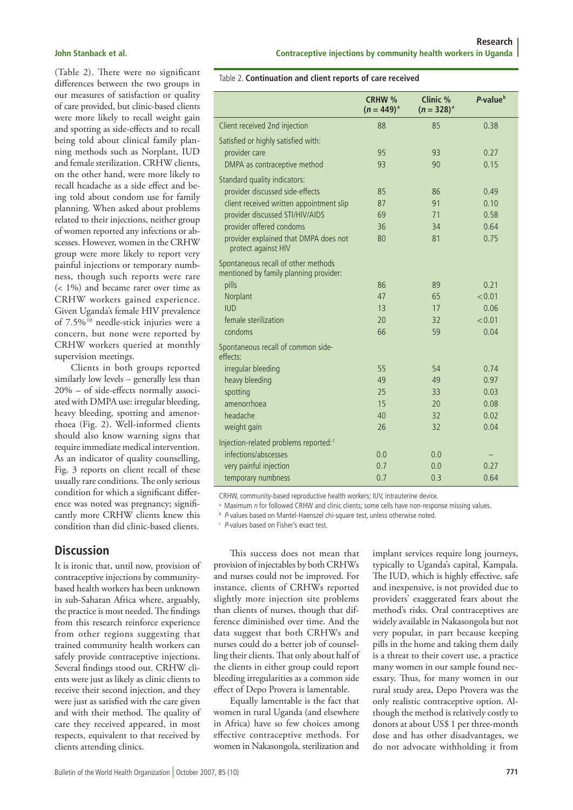(Table 2). There were no significant differences between the two groups in our measures of satisfaction or quality of care provided, but clinic-based clients were more likely to recall weight gain and spotting as side-effects and to recall being told about clinical family planning methods such as Norplant, IUD and female sterilization. CRHW clients, on the other hand, were more likely to recall headache as a side effect and being told about condom use for family planning. When asked about problems related to their injections, neither group of women reported any infections or abscesses. However, women in the CRHW group were more likely to report very painful injections or temporary numbness, though such reports were rare (< 1%) and became rarer over time as CRHW workers gained experience. Given Uganda's female HIV prevalence of 7.5%10 needle-stick injuries were a concern, but none were reported by CRHW workers queried at monthly supervision meetings.

Clients in both groups reported similarly low levels – generally less than 20% – of side-effects normally associated with DMPA use: irregular bleeding, heavy bleeding, spotting and amenorrhoea (Fig. 2). Well-informed clients should also know warning signs that require immediate medical intervention. As an indicator of quality counselling, Fig. 3 reports on client recall of these usually rare conditions. The only serious condition for which a significant difference was noted was pregnancy; significantly more CRHW clients knew this condition than did clinic-based clients.

### **Discussion**

It is ironic that, until now, provision of contraceptive injections by communitybased health workers has been unknown in sub-Saharan Africa where, arguably, the practice is most needed. The findings from this research reinforce experience from other regions suggesting that trained community health workers can safely provide contraceptive injections. Several findings stood out. CRHW clients were just as likely as clinic clients to receive their second injection, and they were just as satisfied with the care given and with their method. The quality of care they received appeared, in most respects, equivalent to that received by clients attending clinics.

|                                                                                      | CRHW %<br>$(n = 449)^{a}$ | Clinic %<br>$(n = 328)^{a}$ | P-value <sup>b</sup> |
|--------------------------------------------------------------------------------------|---------------------------|-----------------------------|----------------------|
| Client received 2nd injection                                                        | 88                        | 85                          | 0.38                 |
| Satisfied or highly satisfied with:<br>provider care<br>DMPA as contraceptive method | 95<br>93                  | 93<br>90                    | 0.27<br>0.15         |
| Standard quality indicators:<br>provider discussed side-effects                      | 85                        | 86                          | 0.49                 |
| client received written appointment slip                                             | 87                        | 91                          | 0.10                 |
| provider discussed STI/HIV/AIDS                                                      | 69                        | 71                          | 0.58                 |
| provider offered condoms                                                             | 36                        | 34                          | 0.64                 |
| provider explained that DMPA does not<br>protect against HIV                         | 80                        | 81                          | 0.75                 |
| Spontaneous recall of other methods<br>mentioned by family planning provider:        |                           |                             |                      |
| pills                                                                                | 86                        | 89                          | 0.21                 |
| Norplant                                                                             | 47                        | 65                          | < 0.01               |
| <b>IUD</b>                                                                           | 13                        | 17                          | 0.06                 |
| female sterilization                                                                 | 20                        | 32                          | < 0.01               |
| condoms                                                                              | 66                        | 59                          | 0.04                 |
| Spontaneous recall of common side-<br>effects:                                       |                           |                             |                      |
| irregular bleeding                                                                   | 55                        | 54                          | 0.74                 |
| heavy bleeding                                                                       | 49                        | 49                          | 0.97                 |
| spotting                                                                             | 25                        | 33                          | 0.03                 |
| amenorrhoea                                                                          | 15                        | 20                          | 0.08                 |
| headache                                                                             | 40                        | 32                          | 0.02                 |
| weight gain                                                                          | 26                        | 32                          | 0.04                 |
| Injection-related problems reported: <sup>c</sup>                                    |                           |                             |                      |
| infections/abscesses                                                                 | 0.0                       | 0.0                         |                      |
| very painful injection                                                               | 0.7                       | 0.0                         | 0.27                 |
| temporary numbness                                                                   | 0.7                       | 0.3                         | 0.64                 |

Table 2. **Continuation and client reports of care received**

CRHW, community-based reproductive health workers; IUV, intrauterine device.

<sup>a</sup> Maximum n for followed CRHW and clinic clients; some cells have non-response missing values.

**b** P-values based on Mantel-Haenszel chi-square test, unless otherwise noted.

c <sup>P</sup>-values based on Fisher's exact test.

This success does not mean that provision of injectables by both CRHWs and nurses could not be improved. For instance, clients of CRHWs reported slightly more injection site problems than clients of nurses, though that difference diminished over time. And the data suggest that both CRHWs and nurses could do a better job of counselling their clients. That only about half of the clients in either group could report bleeding irregularities as a common side effect of Depo Provera is lamentable.

Equally lamentable is the fact that women in rural Uganda (and elsewhere in Africa) have so few choices among effective contraceptive methods. For women in Nakasongola, sterilization and

implant services require long journeys, typically to Uganda's capital, Kampala. The IUD, which is highly effective, safe and inexpensive, is not provided due to providers' exaggerated fears about the method's risks. Oral contraceptives are widely available in Nakasongola but not very popular, in part because keeping pills in the home and taking them daily is a threat to their covert use, a practice many women in our sample found necessary. Thus, for many women in our rural study area, Depo Provera was the only realistic contraceptive option. Although the method is relatively costly to donors at about US\$ 1 per three-month dose and has other disadvantages, we do not advocate withholding it from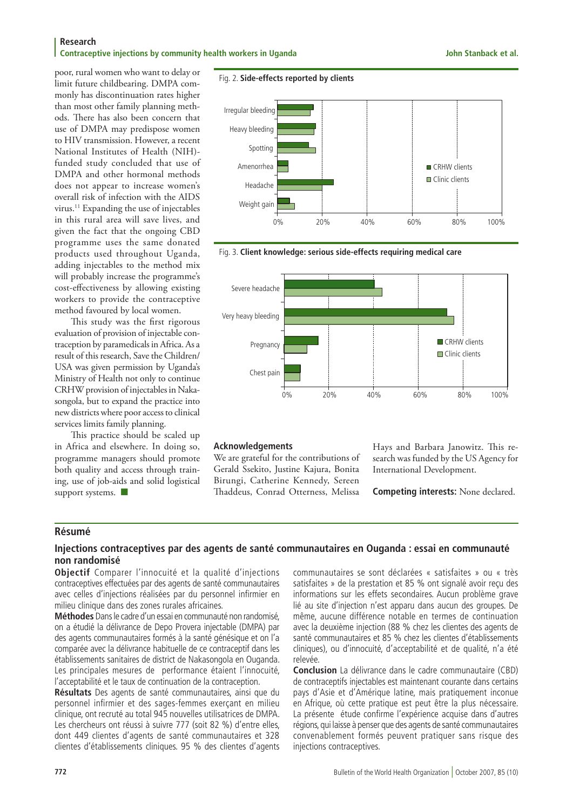#### **Research Contraceptive injections by community health workers in Uganda John Stanback et al. John Stanback et al.**

poor, rural women who want to delay or limit future childbearing. DMPA commonly has discontinuation rates higher than most other family planning methods. There has also been concern that use of DMPA may predispose women to HIV transmission. However, a recent National Institutes of Health (NIH) funded study concluded that use of DMPA and other hormonal methods does not appear to increase women's overall risk of infection with the AIDS virus.11 Expanding the use of injectables in this rural area will save lives, and given the fact that the ongoing CBD programme uses the same donated products used throughout Uganda, adding injectables to the method mix will probably increase the programme's cost-effectiveness by allowing existing workers to provide the contraceptive method favoured by local women.

This study was the first rigorous evaluation of provision of injectable contraception by paramedicals in Africa. As a result of this research, Save the Children/ USA was given permission by Uganda's Ministry of Health not only to continue CRHW provision of injectables in Nakasongola, but to expand the practice into new districts where poor access to clinical services limits family planning.

This practice should be scaled up in Africa and elsewhere. In doing so, programme managers should promote both quality and access through training, use of job-aids and solid logistical support systems. ■







#### Fig. 3. **Client knowledge: serious side-effects requiring medical care**

#### **Acknowledgements**

We are grateful for the contributions of Gerald Ssekito, Justine Kajura, Bonita Birungi, Catherine Kennedy, Sereen Thaddeus, Conrad Otterness, Melissa Hays and Barbara Janowitz. This research was funded by the US Agency for International Development.

**Competing interests:** None declared.

#### **Résumé**

#### **Injections contraceptives par des agents de santé communautaires en Ouganda : essai en communauté non randomisé**

**Objectif** Comparer l'innocuité et la qualité d'injections contraceptives effectuées par des agents de santé communautaires avec celles d'injections réalisées par du personnel infirmier en milieu clinique dans des zones rurales africaines.

**Méthodes** Dans le cadre d'un essai en communauté non randomisé, on a étudié la délivrance de Depo Provera injectable (DMPA) par des agents communautaires formés à la santé génésique et on l'a comparée avec la délivrance habituelle de ce contraceptif dans les établissements sanitaires de district de Nakasongola en Ouganda. Les principales mesures de performance étaient l'innocuité, l'acceptabilité et le taux de continuation de la contraception.

**Résultats** Des agents de santé communautaires, ainsi que du personnel infirmier et des sages-femmes exerçant en milieu clinique, ont recruté au total 945 nouvelles utilisatrices de DMPA. Les chercheurs ont réussi à suivre 777 (soit 82 %) d'entre elles, dont 449 clientes d'agents de santé communautaires et 328 clientes d'établissements cliniques. 95 % des clientes d'agents communautaires se sont déclarées « satisfaites » ou « très satisfaites » de la prestation et 85 % ont signalé avoir reçu des informations sur les effets secondaires. Aucun problème grave lié au site d'injection n'est apparu dans aucun des groupes. De même, aucune différence notable en termes de continuation avec la deuxième injection (88 % chez les clientes des agents de santé communautaires et 85 % chez les clientes d'établissements cliniques), ou d'innocuité, d'acceptabilité et de qualité, n'a été relevée.

**Conclusion** La délivrance dans le cadre communautaire (CBD) de contraceptifs injectables est maintenant courante dans certains pays d'Asie et d'Amérique latine, mais pratiquement inconue en Afrique, où cette pratique est peut être la plus nécessaire. La présente étude confirme l'expérience acquise dans d'autres régions, qui laisse à penser que des agents de santé communautaires convenablement formés peuvent pratiquer sans risque des injections contraceptives.